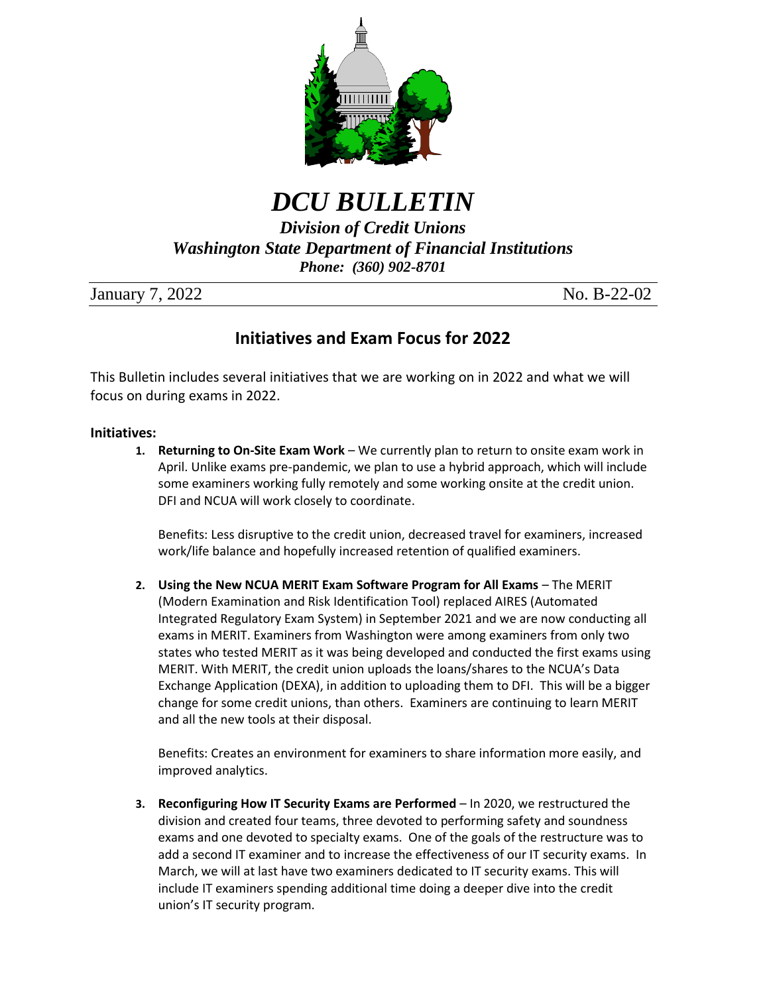

*DCU BULLETIN*

*Division of Credit Unions Washington State Department of Financial Institutions Phone: (360) 902-8701*

January 7, 2022 No. B-22-02

# **Initiatives and Exam Focus for 2022**

This Bulletin includes several initiatives that we are working on in 2022 and what we will focus on during exams in 2022.

# **Initiatives:**

**1. Returning to On-Site Exam Work** – We currently plan to return to onsite exam work in April. Unlike exams pre-pandemic, we plan to use a hybrid approach, which will include some examiners working fully remotely and some working onsite at the credit union. DFI and NCUA will work closely to coordinate.

Benefits: Less disruptive to the credit union, decreased travel for examiners, increased work/life balance and hopefully increased retention of qualified examiners.

**2. Using the New NCUA MERIT Exam Software Program for All Exams** – The MERIT (Modern Examination and Risk Identification Tool) replaced AIRES (Automated Integrated Regulatory Exam System) in September 2021 and we are now conducting all exams in MERIT. Examiners from Washington were among examiners from only two states who tested MERIT as it was being developed and conducted the first exams using MERIT. With MERIT, the credit union uploads the loans/shares to the NCUA's Data Exchange Application (DEXA), in addition to uploading them to DFI. This will be a bigger change for some credit unions, than others. Examiners are continuing to learn MERIT and all the new tools at their disposal.

Benefits: Creates an environment for examiners to share information more easily, and improved analytics.

**3. Reconfiguring How IT Security Exams are Performed** – In 2020, we restructured the division and created four teams, three devoted to performing safety and soundness exams and one devoted to specialty exams. One of the goals of the restructure was to add a second IT examiner and to increase the effectiveness of our IT security exams. In March, we will at last have two examiners dedicated to IT security exams. This will include IT examiners spending additional time doing a deeper dive into the credit union's IT security program.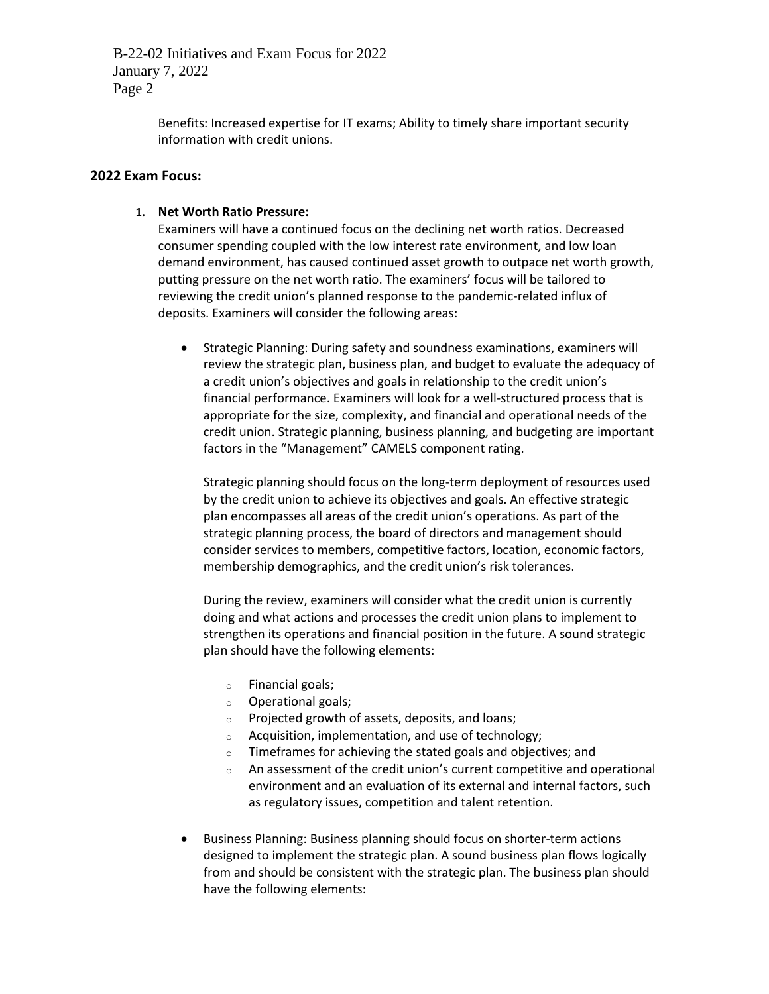> Benefits: Increased expertise for IT exams; Ability to timely share important security information with credit unions.

#### **2022 Exam Focus:**

#### **1. Net Worth Ratio Pressure:**

Examiners will have a continued focus on the declining net worth ratios. Decreased consumer spending coupled with the low interest rate environment, and low loan demand environment, has caused continued asset growth to outpace net worth growth, putting pressure on the net worth ratio. The examiners' focus will be tailored to reviewing the credit union's planned response to the pandemic-related influx of deposits. Examiners will consider the following areas:

 Strategic Planning: During safety and soundness examinations, examiners will review the strategic plan, business plan, and budget to evaluate the adequacy of a credit union's objectives and goals in relationship to the credit union's financial performance. Examiners will look for a well-structured process that is appropriate for the size, complexity, and financial and operational needs of the credit union. Strategic planning, business planning, and budgeting are important factors in the "Management" CAMELS component rating.

Strategic planning should focus on the long-term deployment of resources used by the credit union to achieve its objectives and goals. An effective strategic plan encompasses all areas of the credit union's operations. As part of the strategic planning process, the board of directors and management should consider services to members, competitive factors, location, economic factors, membership demographics, and the credit union's risk tolerances.

During the review, examiners will consider what the credit union is currently doing and what actions and processes the credit union plans to implement to strengthen its operations and financial position in the future. A sound strategic plan should have the following elements:

- o Financial goals;
- o Operational goals;
- o Projected growth of assets, deposits, and loans;
- o Acquisition, implementation, and use of technology;
- o Timeframes for achieving the stated goals and objectives; and
- o An assessment of the credit union's current competitive and operational environment and an evaluation of its external and internal factors, such as regulatory issues, competition and talent retention.
- Business Planning: Business planning should focus on shorter-term actions designed to implement the strategic plan. A sound business plan flows logically from and should be consistent with the strategic plan. The business plan should have the following elements: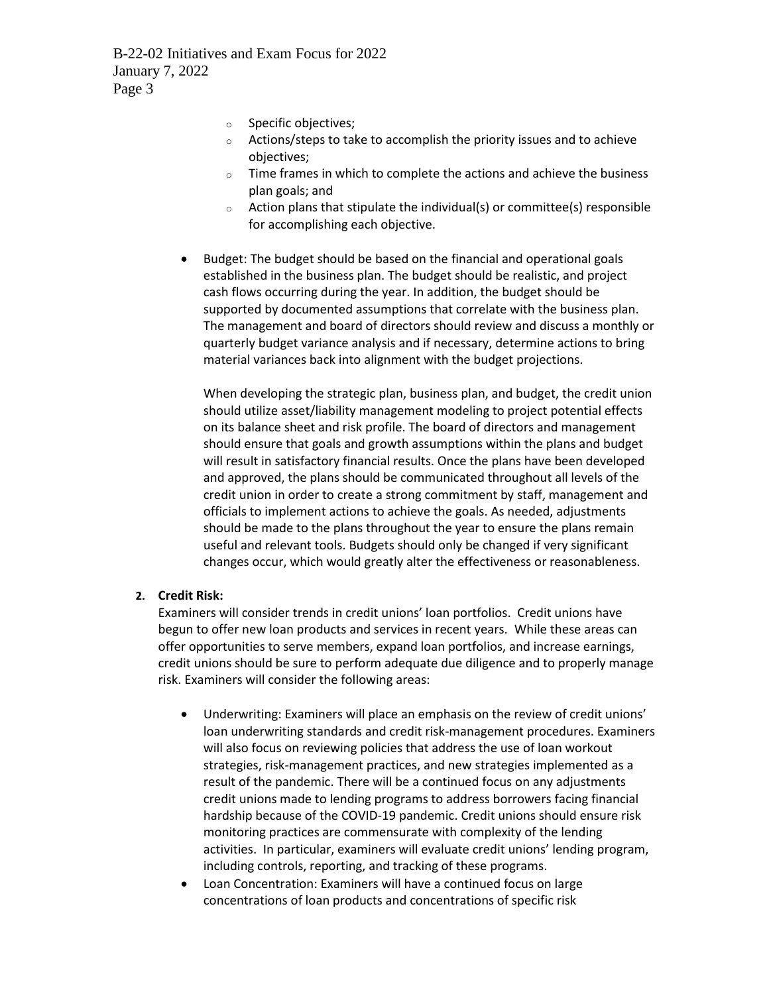- o Specific objectives;
- o Actions/steps to take to accomplish the priority issues and to achieve objectives;
- o Time frames in which to complete the actions and achieve the business plan goals; and
- o Action plans that stipulate the individual(s) or committee(s) responsible for accomplishing each objective.
- Budget: The budget should be based on the financial and operational goals established in the business plan. The budget should be realistic, and project cash flows occurring during the year. In addition, the budget should be supported by documented assumptions that correlate with the business plan. The management and board of directors should review and discuss a monthly or quarterly budget variance analysis and if necessary, determine actions to bring material variances back into alignment with the budget projections.

When developing the strategic plan, business plan, and budget, the credit union should utilize asset/liability management modeling to project potential effects on its balance sheet and risk profile. The board of directors and management should ensure that goals and growth assumptions within the plans and budget will result in satisfactory financial results. Once the plans have been developed and approved, the plans should be communicated throughout all levels of the credit union in order to create a strong commitment by staff, management and officials to implement actions to achieve the goals. As needed, adjustments should be made to the plans throughout the year to ensure the plans remain useful and relevant tools. Budgets should only be changed if very significant changes occur, which would greatly alter the effectiveness or reasonableness.

# **2. Credit Risk:**

Examiners will consider trends in credit unions' loan portfolios. Credit unions have begun to offer new loan products and services in recent years. While these areas can offer opportunities to serve members, expand loan portfolios, and increase earnings, credit unions should be sure to perform adequate due diligence and to properly manage risk. Examiners will consider the following areas:

- Underwriting: Examiners will place an emphasis on the review of credit unions' loan underwriting standards and credit risk-management procedures. Examiners will also focus on reviewing policies that address the use of loan workout strategies, risk-management practices, and new strategies implemented as a result of the pandemic. There will be a continued focus on any adjustments credit unions made to lending programs to address borrowers facing financial hardship because of the COVID-19 pandemic. Credit unions should ensure risk monitoring practices are commensurate with complexity of the lending activities. In particular, examiners will evaluate credit unions' lending program, including controls, reporting, and tracking of these programs.
- Loan Concentration: Examiners will have a continued focus on large concentrations of loan products and concentrations of specific risk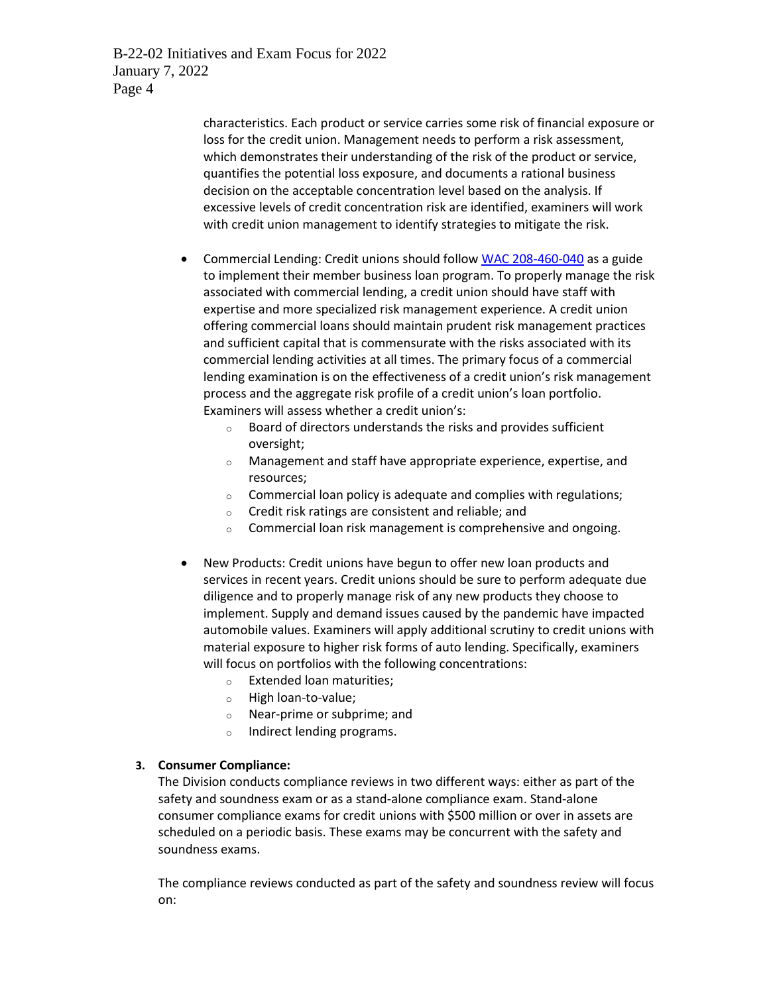> characteristics. Each product or service carries some risk of financial exposure or loss for the credit union. Management needs to perform a risk assessment, which demonstrates their understanding of the risk of the product or service, quantifies the potential loss exposure, and documents a rational business decision on the acceptable concentration level based on the analysis. If excessive levels of credit concentration risk are identified, examiners will work with credit union management to identify strategies to mitigate the risk.

- Commercial Lending: Credit unions should follo[w WAC 208-460-040](https://app.leg.wa.gov/WAC/default.aspx?cite=208-460-040&pdf=true) as a guide to implement their member business loan program. To properly manage the risk associated with commercial lending, a credit union should have staff with expertise and more specialized risk management experience. A credit union offering commercial loans should maintain prudent risk management practices and sufficient capital that is commensurate with the risks associated with its commercial lending activities at all times. The primary focus of a commercial lending examination is on the effectiveness of a credit union's risk management process and the aggregate risk profile of a credit union's loan portfolio. Examiners will assess whether a credit union's:
	- $\circ$  Board of directors understands the risks and provides sufficient oversight;
	- o Management and staff have appropriate experience, expertise, and resources;
	- o Commercial loan policy is adequate and complies with regulations;
	- o Credit risk ratings are consistent and reliable; and
	- o Commercial loan risk management is comprehensive and ongoing.
- New Products: Credit unions have begun to offer new loan products and services in recent years. Credit unions should be sure to perform adequate due diligence and to properly manage risk of any new products they choose to implement. Supply and demand issues caused by the pandemic have impacted automobile values. Examiners will apply additional scrutiny to credit unions with material exposure to higher risk forms of auto lending. Specifically, examiners will focus on portfolios with the following concentrations:
	- o Extended loan maturities;
	- o High loan-to-value;
	- o Near-prime or subprime; and
	- o Indirect lending programs.

# **3. Consumer Compliance:**

The Division conducts compliance reviews in two different ways: either as part of the safety and soundness exam or as a stand-alone compliance exam. Stand-alone consumer compliance exams for credit unions with \$500 million or over in assets are scheduled on a periodic basis. These exams may be concurrent with the safety and soundness exams.

The compliance reviews conducted as part of the safety and soundness review will focus on: